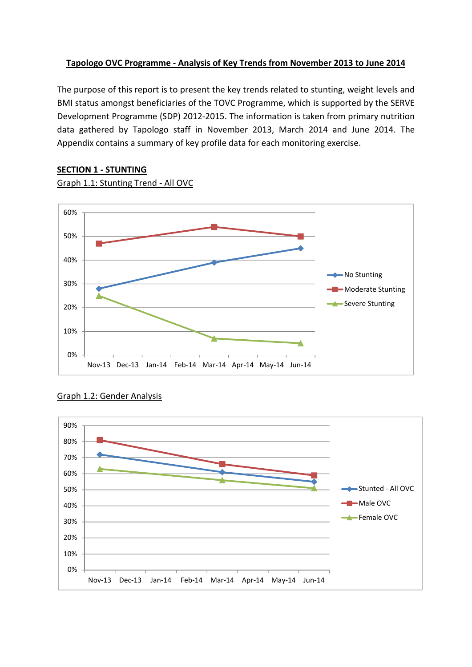# **Tapologo OVC Programme - Analysis of Key Trends from November 2013 to June 2014**

The purpose of this report is to present the key trends related to stunting, weight levels and BMI status amongst beneficiaries of the TOVC Programme, which is supported by the SERVE Development Programme (SDP) 2012-2015. The information is taken from primary nutrition data gathered by Tapologo staff in November 2013, March 2014 and June 2014. The Appendix contains a summary of key profile data for each monitoring exercise.

# 0% 10% 20% 30% 40% 50% 60% Nov-13 Dec-13 Jan-14 Feb-14 Mar-14 Apr-14 May-14 Jun-14 No Stunting Moderate Stunting Severe Stunting

# **SECTION 1 - STUNTING**

Graph 1.1: Stunting Trend - All OVC

# Graph 1.2: Gender Analysis

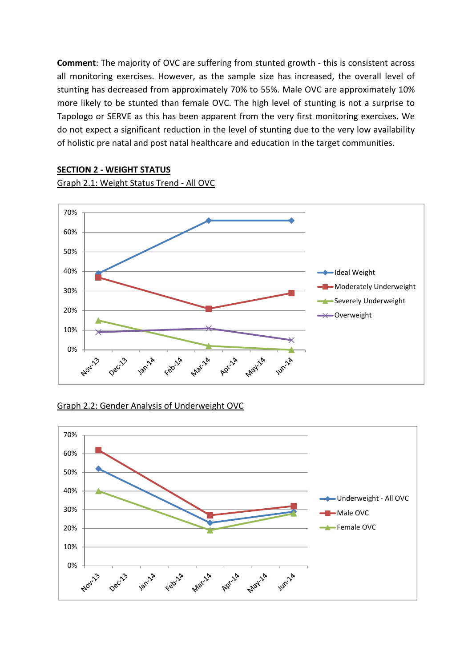**Comment**: The majority of OVC are suffering from stunted growth - this is consistent across all monitoring exercises. However, as the sample size has increased, the overall level of stunting has decreased from approximately 70% to 55%. Male OVC are approximately 10% more likely to be stunted than female OVC. The high level of stunting is not a surprise to Tapologo or SERVE as this has been apparent from the very first monitoring exercises. We do not expect a significant reduction in the level of stunting due to the very low availability of holistic pre natal and post natal healthcare and education in the target communities.

#### 70% 60% 50% 40% -Ideal Weight Moderately Underweight 30% Severely Underweight 20%  $\leftarrow$  Overweight 10% 0% **12m** 14 April 14 **White** Nov-13 Feb<sup>14</sup> **May's Maryl** Deci<sup>23</sup>

# **SECTION 2 - WEIGHT STATUS**

Graph 2.1: Weight Status Trend - All OVC

# Graph 2.2: Gender Analysis of Underweight OVC

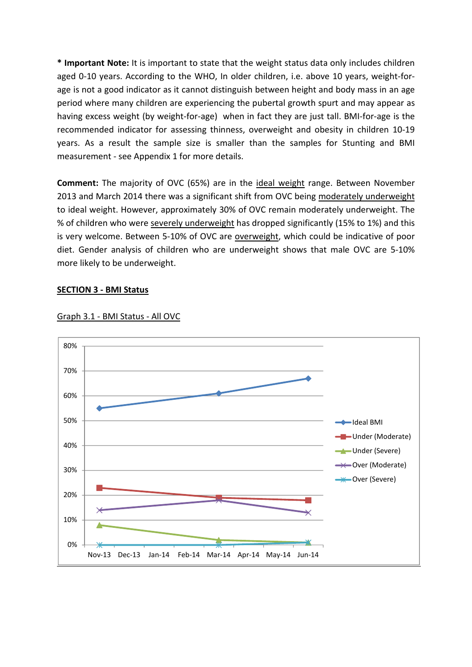**\* Important Note:** It is important to state that the weight status data only includes children aged 0-10 years. According to the WHO, In older children, i.e. above 10 years, weight-forage is not a good indicator as it cannot distinguish between height and body mass in an age period where many children are experiencing the pubertal growth spurt and may appear as having excess weight (by weight-for-age) when in fact they are just tall. BMI-for-age is the recommended indicator for assessing thinness, overweight and obesity in children 10-19 years. As a result the sample size is smaller than the samples for Stunting and BMI measurement - see Appendix 1 for more details.

**Comment:** The majority of OVC (65%) are in the ideal weight range. Between November 2013 and March 2014 there was a significant shift from OVC being moderately underweight to ideal weight. However, approximately 30% of OVC remain moderately underweight. The % of children who were severely underweight has dropped significantly (15% to 1%) and this is very welcome. Between 5-10% of OVC are overweight, which could be indicative of poor diet. Gender analysis of children who are underweight shows that male OVC are 5-10% more likely to be underweight.

### **SECTION 3 - BMI Status**



#### Graph 3.1 - BMI Status - All OVC